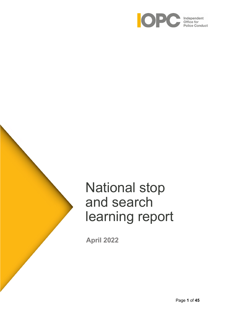

# National stop and search learning report

**April 2022**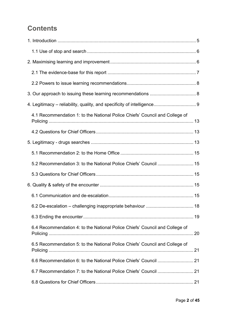# **Contents**

| 4.1 Recommendation 1: to the National Police Chiefs' Council and College of |    |
|-----------------------------------------------------------------------------|----|
|                                                                             |    |
|                                                                             |    |
|                                                                             |    |
| 5.2 Recommendation 3: to the National Police Chiefs' Council  15            |    |
|                                                                             |    |
|                                                                             |    |
|                                                                             |    |
| 6.2 De-escalation - challenging inappropriate behaviour                     | 18 |
|                                                                             |    |
| 6.4 Recommendation 4: to the National Police Chiefs' Council and College of |    |
| 6.5 Recommendation 5: to the National Police Chiefs' Council and College of |    |
|                                                                             |    |
| 6.7 Recommendation 7: to the National Police Chiefs' Council  21            |    |
|                                                                             |    |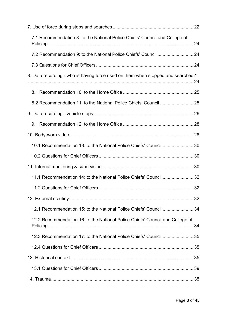| 7.1 Recommendation 8: to the National Police Chiefs' Council and College of     |  |
|---------------------------------------------------------------------------------|--|
|                                                                                 |  |
|                                                                                 |  |
| 8. Data recording - who is having force used on them when stopped and searched? |  |
|                                                                                 |  |
|                                                                                 |  |
|                                                                                 |  |
|                                                                                 |  |
|                                                                                 |  |
| 10.1 Recommendation 13: to the National Police Chiefs' Council  30              |  |
|                                                                                 |  |
|                                                                                 |  |
| 11.1 Recommendation 14: to the National Police Chiefs' Council  32              |  |
|                                                                                 |  |
|                                                                                 |  |
| 12.1 Recommendation 15: to the National Police Chiefs' Council  34              |  |
| 12.2 Recommendation 16: to the National Police Chiefs' Council and College of   |  |
| 12.3 Recommendation 17: to the National Police Chiefs' Council  35              |  |
|                                                                                 |  |
|                                                                                 |  |
|                                                                                 |  |
|                                                                                 |  |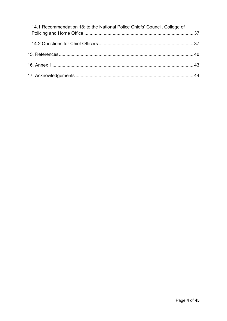<span id="page-3-0"></span>

| 14.1 Recommendation 18: to the National Police Chiefs' Council, College of |  |
|----------------------------------------------------------------------------|--|
|                                                                            |  |
|                                                                            |  |
|                                                                            |  |
|                                                                            |  |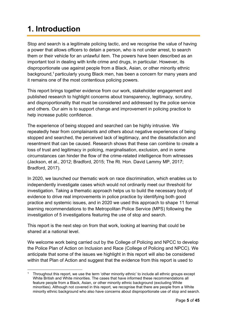# **1. Introduction**

Stop and search is a legitimate policing tactic, and we recognise the value of having a power that allows officers to detain a person, who is not under arrest, to search them or their vehicle for an unlawful item. The powers have been described as an important tool in dealing with knife crime and drugs, in particular. However, its disproportionate use against people from a Black, Asian, or other minority ethnic background,<sup>1</sup> particularly young Black men, has been a concern for many years and it remains one of the most contentious policing powers.

This report brings together evidence from our work, stakeholder engagement and published research to highlight concerns about transparency, legitimacy, scrutiny, and disproportionality that must be considered and addressed by the police service and others. Our aim is to support change and improvement in policing practice to help increase public confidence.

The experience of being stopped and searched can be highly intrusive. We repeatedly hear from complainants and others about negative experiences of being stopped and searched, the perceived lack of legitimacy, and the dissatisfaction and resentment that can be caused. Research shows that these can combine to create a loss of trust and legitimacy in policing, marginalisation, exclusion, and in some circumstances can hinder the flow of the crime-related intelligence from witnesses (Jackson, et al., 2012; Bradford, 2015; The Rt. Hon. David Lammy MP, 2017; Bradford, 2017).

In 2020, we launched our thematic work on race discrimination, which enables us to independently investigate cases which would not ordinarily meet our threshold for investigation. Taking a thematic approach helps us to build the necessary body of evidence to drive real improvements in police practice by identifying both good practice and systemic issues, and in 2020 we used this approach to shape 11 formal learning recommendations to the Metropolitan Police Service (MPS) following the investigation of 5 investigations featuring the use of stop and search.

This report is the next step on from that work, looking at learning that could be shared at a national level.

We welcome work being carried out by the College of Policing and NPCC to develop the Police Plan of Action on Inclusion and Race (College of Policing and NPCC). We anticipate that some of the issues we highlight in this report will also be considered within that Plan of Action and suggest that the evidence from this report is used to

<sup>1</sup> Throughout this report, we use the term 'other minority ethnic' to include all ethnic groups except White British and White minorities. The cases that have informed these recommendations all feature people from a Black, Asian, or other minority ethnic background (excluding White minorities). Although not covered in this report, we recognise that there are people from a White minority ethnic background who also have concerns about disproportionate use of stop and search.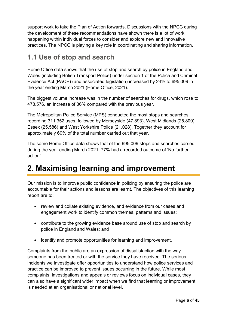support work to take the Plan of Action forwards. Discussions with the NPCC during the development of these recommendations have shown there is a lot of work happening within individual forces to consider and explore new and innovative practices. The NPCC is playing a key role in coordinating and sharing information.

### <span id="page-5-0"></span>**1.1 Use of stop and search**

Home Office data shows that the use of stop and search by police in England and Wales (including British Transport Police) under section 1 of the Police and Criminal Evidence Act (PACE) (and associated legislation) increased by 24% to 695,009 in the year ending March 2021 (Home Office, 2021).

The biggest volume increase was in the number of searches for drugs, which rose to 478,576, an increase of 36% compared with the previous year.

The Metropolitan Police Service (MPS) conducted the most stops and searches, recording 311,352 uses, followed by Merseyside (47,893), West Midlands (25,800), Essex (25,586) and West Yorkshire Police (21,028). Together they account for approximately 60% of the total number carried out that year.

The same Home Office data shows that of the 695,009 stops and searches carried during the year ending March 2021, 77% had a recorded outcome of 'No further action'.

# <span id="page-5-1"></span>**2. Maximising learning and improvement**

Our mission is to improve public confidence in policing by ensuring the police are accountable for their actions and lessons are learnt. The objectives of this learning report are to:

- review and collate existing evidence, and evidence from our cases and engagement work to identify common themes, patterns and issues;
- contribute to the growing evidence base around use of stop and search by police in England and Wales; and
- identify and promote opportunities for learning and improvement.

Complaints from the public are an expression of dissatisfaction with the way someone has been treated or with the service they have received. The serious incidents we investigate offer opportunities to understand how police services and practice can be improved to prevent issues occurring in the future. While most complaints, investigations and appeals or reviews focus on individual cases, they can also have a significant wider impact when we find that learning or improvement is needed at an organisational or national level.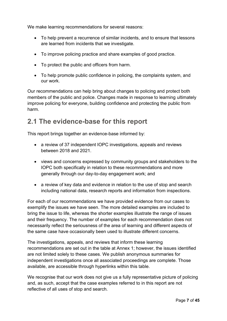We make learning recommendations for several reasons:

- To help prevent a recurrence of similar incidents, and to ensure that lessons are learned from incidents that we investigate.
- To improve policing practice and share examples of good practice.
- To protect the public and officers from harm.
- To help promote public confidence in policing, the complaints system, and our work.

Our recommendations can help bring about changes to policing and protect both members of the public and police. Changes made in response to learning ultimately improve policing for everyone, building confidence and protecting the public from harm.

### <span id="page-6-0"></span>**2.1 The evidence-base for this report**

This report brings together an evidence-base informed by:

- a review of 37 independent IOPC investigations, appeals and reviews between 2018 and 2021.
- views and concerns expressed by community groups and stakeholders to the IOPC both specifically in relation to these recommendations and more generally through our day-to-day engagement work; and
- a review of key data and evidence in relation to the use of stop and search including national data, research reports and information from inspections.

For each of our recommendations we have provided evidence from our cases to exemplify the issues we have seen. The more detailed examples are included to bring the issue to life, whereas the shorter examples illustrate the range of issues and their frequency. The number of examples for each recommendation does not necessarily reflect the seriousness of the area of learning and different aspects of the same case have occasionally been used to illustrate different concerns.

The investigations, appeals, and reviews that inform these learning recommendations are set out in the table at Annex 1; however, the issues identified are not limited solely to these cases. We publish anonymous summaries for independent investigations once all associated proceedings are complete. Those available, are accessible through hyperlinks within this table.

We recognise that our work does not give us a fully representative picture of policing and, as such, accept that the case examples referred to in this report are not reflective of all uses of stop and search.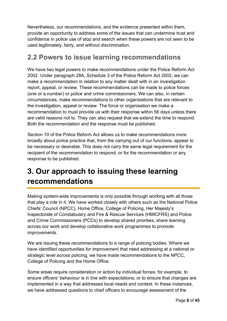Nevertheless, our recommendations, and the evidence presented within them, provide an opportunity to address some of the issues that can undermine trust and confidence in police use of stop and search when these powers are not seen to be used legitimately, fairly, and without discrimination.

### <span id="page-7-0"></span>**2.2 Powers to issue learning recommendations**

We have two legal powers to make recommendations under the Police Reform Act 2002. Under paragraph 28A, Schedule 3 of the Police Reform Act 2002, we can make a recommendation in relation to any matter dealt with in an investigation report, appeal, or review. These recommendations can be made to police forces (one or a number) or police and crime commissioners. We can also, in certain circumstances, make recommendations to other organisations that are relevant to the investigation, appeal or review. The force or organisation we make a recommendation to must provide us with their response within 56 days unless there are valid reasons not to. They can also request that we extend the time to respond. Both the recommendation and the response must be published.

Section 10 of the Police Reform Act allows us to make recommendations more broadly about police practice that, from the carrying out of our functions, appear to be necessary or desirable. This does not carry the same legal requirement for the recipient of the recommendation to respond, or for the recommendation or any response to be published.

# <span id="page-7-1"></span>**3. Our approach to issuing these learning recommendations**

Making system-wide improvements is only possible through working with all those that play a role in it. We have worked closely with others such as the National Police Chiefs' Council (NPCC), Home Office, College of Policing, Her Majesty's Inspectorate of Constabulary and Fire & Rescue Services (HMICFRS) and Police and Crime Commissioners (PCCs) to develop shared priorities, share learning across our work and develop collaborative work programmes to promote improvements.

We are issuing these recommendations to a range of policing bodies. Where we have identified opportunities for improvement that need addressing at a national or strategic level across policing, we have made recommendations to the NPCC, College of Policing and the Home Office.

Some areas require consideration or action by individual forces; for example, to ensure officers' behaviour is in line with expectations, or to ensure that changes are implemented in a way that addresses local needs and context. In these instances, we have addressed questions to chief officers to encourage assessment of the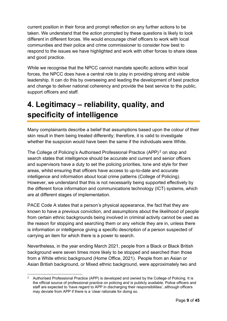current position in their force and prompt reflection on any further actions to be taken. We understand that the action prompted by these questions is likely to look different in different forces. We would encourage chief officers to work with local communities and their police and crime commissioner to consider how best to respond to the issues we have highlighted and work with other forces to share ideas and good practice.

While we recognise that the NPCC cannot mandate specific actions within local forces, the NPCC does have a central role to play in providing strong and visible leadership. It can do this by overseeing and leading the development of best practice and change to deliver national coherency and provide the best service to the public, support officers and staff.

# <span id="page-8-0"></span>**4. Legitimacy – reliability, quality, and specificity of intelligence**

Many complainants describe a belief that assumptions based upon the colour of their skin result in them being treated differently; therefore, it is valid to investigate whether the suspicion would have been the same if the individuals were White.

The College of Policing's Authorised Professional Practice (APP) <sup>2</sup> on stop and search states that intelligence should be accurate and current and senior officers and supervisors have a duty to set the policing priorities, tone and style for their areas, whilst ensuring that officers have access to up-to-date and accurate intelligence and information about local crime patterns (College of Policing). However, we understand that this is not necessarily being supported effectively by the different force information and communications technology (ICT) systems, which are at different stages of implementation.

PACE Code A states that a person's physical appearance, the fact that they are known to have a previous conviction, and assumptions about the likelihood of people from certain ethnic backgrounds being involved in criminal activity cannot be used as the reason for stopping and searching them or any vehicle they are in, unless there is information or intelligence giving a specific description of a person suspected of carrying an item for which there is a power to search.

Nevertheless, in the year ending March 2021, people from a Black or Black British background were seven times more likely to be stopped and searched than those from a White ethnic background (Home Office, 2021). People from an Asian or Asian British background, or Mixed ethnic background, were approximately two and

<sup>&</sup>lt;sup>2</sup> Authorised Professional Practice (APP) is developed and owned by the College of Policing. It is the official source of professional practice on policing and is publicly available. Police officers and staff are expected to 'have regard to APP in discharging their responsibilities', although officers may deviate from APP if there is a 'clear rationale for doing so.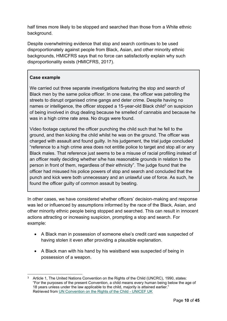half times more likely to be stopped and searched than those from a White ethnic background.

Despite overwhelming evidence that stop and search continues to be used disproportionately against people from Black, Asian, and other minority ethnic backgrounds, HMICFRS says that no force can satisfactorily explain why such disproportionality exists (HMICFRS, 2017).

#### **Case example**

We carried out three separate investigations featuring the stop and search of Black men by the same police officer. In one case, the officer was patrolling the streets to disrupt organised crime gangs and deter crime. Despite having no names or intelligence, the officer stopped a 15-year-old Black child<sup>3</sup> on suspicion of being involved in drug dealing because he smelled of cannabis and because he was in a high crime rate area. No drugs were found.

Video footage captured the officer punching the child such that he fell to the ground, and then kicking the child whilst he was on the ground. The officer was charged with assault and found guilty. In his judgement, the trial judge concluded "reference to a high crime area does not entitle police to target and stop all or any Black males. That reference just seems to be a misuse of racial profiling instead of an officer really deciding whether s/he has reasonable grounds in relation to the person in front of them, regardless of their ethnicity". The judge found that the officer had misused his police powers of stop and search and concluded that the punch and kick were both unnecessary and an unlawful use of force. As such, he found the officer guilty of common assault by beating.

In other cases, we have considered whether officers' decision-making and response was led or influenced by assumptions informed by the race of the Black, Asian, and other minority ethnic people being stopped and searched. This can result in innocent actions attracting or increasing suspicion, prompting a stop and search. For example:

- A Black man in possession of someone else's credit card was suspected of having stolen it even after providing a plausible explanation.
- A Black man with his hand by his waistband was suspected of being in possession of a weapon.

<sup>3</sup> Article 1, The United Nations Convention on the Rights of the Child (UNCRC), 1990, states: "For the purposes of the present Convention, a child means every human being below the age of 18 years unless under the law applicable to the child, majority is attained earlier." Retrieved from [UN Convention on the Rights of the Child -](https://www.unicef.org.uk/what-we-do/un-convention-child-rights/) UNICEF UK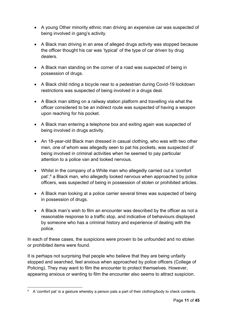- A young Other minority ethnic man driving an expensive car was suspected of being involved in gang's activity.
- A Black man driving in an area of alleged drugs activity was stopped because the officer thought his car was 'typical' of the type of car driven by drug dealers.
- A Black man standing on the corner of a road was suspected of being in possession of drugs.
- A Black child riding a bicycle near to a pedestrian during Covid-19 lockdown restrictions was suspected of being involved in a drugs deal.
- A Black man sitting on a railway station platform and travelling via what the officer considered to be an indirect route was suspected of having a weapon upon reaching for his pocket.
- A Black man entering a telephone box and exiting again was suspected of being involved in drugs activity.
- An 18-year-old Black man dressed in casual clothing, who was with two other men, one of whom was allegedly seen to pat his pockets, was suspected of being involved in criminal activities when he seemed to pay particular attention to a police van and looked nervous.
- Whilst in the company of a White man who allegedly carried out a 'comfort pat',<sup>4</sup> a Black man, who allegedly looked nervous when approached by police officers, was suspected of being in possession of stolen or prohibited articles.
- A Black man looking at a police carrier several times was suspected of being in possession of drugs.
- A Black man's wish to film an encounter was described by the officer as not a reasonable response to a traffic stop, and indicative of behaviours displayed by someone who has a criminal history and experience of dealing with the police.

In each of these cases, the suspicions were proven to be unfounded and no stolen or prohibited items were found.

It is perhaps not surprising that people who believe that they are being unfairly stopped and searched, feel anxious when approached by police officers (College of Policing). They may want to film the encounter to protect themselves. However, appearing anxious or wanting to film the encounter also seems to attract suspicion.

<sup>4</sup> A 'comfort pat' is a gesture whereby a person pats a part of their clothing/body to check contents.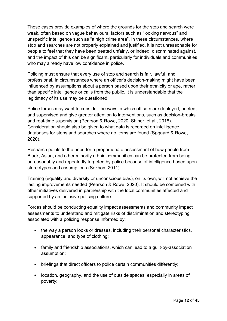These cases provide examples of where the grounds for the stop and search were weak, often based on vague behavioural factors such as "looking nervous" and unspecific intelligence such as "a high crime area". In these circumstances, where stop and searches are not properly explained and justified, it is not unreasonable for people to feel that they have been treated unfairly, or indeed, discriminated against, and the impact of this can be significant, particularly for individuals and communities who may already have low confidence in police.

Policing must ensure that every use of stop and search is fair, lawful, and professional. In circumstances where an officer's decision-making might have been influenced by assumptions about a person based upon their ethnicity or age, rather than specific intelligence or calls from the public, it is understandable that the legitimacy of its use may be questioned.

Police forces may want to consider the ways in which officers are deployed, briefed, and supervised and give greater attention to interventions, such as decision-breaks and real-time supervision (Pearson & Rowe, 2020; Shiner, et al., 2018). Consideration should also be given to what data is recorded on intelligence databases for stops and searches where no items are found (Søgaard & Rowe, 2020).

Research points to the need for a proportionate assessment of how people from Black, Asian, and other minority ethnic communities can be protected from being unreasonably and repeatedly targeted by police because of intelligence based upon stereotypes and assumptions (Sekhon, 2011).

Training (equality and diversity or unconscious bias), on its own, will not achieve the lasting improvements needed (Pearson & Rowe, 2020). It should be combined with other initiatives delivered in partnership with the local communities affected and supported by an inclusive policing culture.

Forces should be conducting equality impact assessments and community impact assessments to understand and mitigate risks of discrimination and stereotyping associated with a policing response informed by:

- the way a person looks or dresses, including their personal characteristics, appearance, and type of clothing;
- family and friendship associations, which can lead to a guilt-by-association assumption;
- briefings that direct officers to police certain communities differently;
- location, geography, and the use of outside spaces, especially in areas of poverty;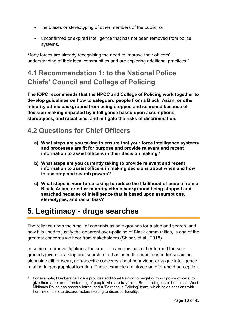- the biases or stereotyping of other members of the public; or
- unconfirmed or expired intelligence that has not been removed from police systems.

Many forces are already recognising the need to improve their officers' understanding of their local communities and are exploring additional practices.<sup>5</sup>

# <span id="page-12-0"></span>**4.1 Recommendation 1: to the National Police Chiefs' Council and College of Policing**

**The IOPC recommends that the NPCC and College of Policing work together to develop guidelines on how to safeguard people from a Black, Asian, or other minority ethnic background from being stopped and searched because of decision-making impacted by intelligence based upon assumptions, stereotypes, and racial bias, and mitigate the risks of discrimination.**

### <span id="page-12-1"></span>**4.2 Questions for Chief Officers**

- **a) What steps are you taking to ensure that your force intelligence systems and processes are fit for purpose and provide relevant and recent information to assist officers in their decision making?**
- **b) What steps are you currently taking to provide relevant and recent information to assist officers in making decisions about when and how to use stop and search powers?**
- **c) What steps is your force taking to reduce the likelihood of people from a Black, Asian, or other minority ethnic background being stopped and searched because of intelligence that is based upon assumptions, stereotypes, and racial bias?**

### <span id="page-12-2"></span>**5. Legitimacy - drugs searches**

The reliance upon the smell of cannabis as sole grounds for a stop and search, and how it is used to justify the apparent over-policing of Black communities, is one of the greatest concerns we hear from stakeholders (Shiner, et al., 2018).

In some of our investigations, the smell of cannabis has either formed the sole grounds given for a stop and search, or it has been the main reason for suspicion alongside either weak, non-specific concerns about behaviour, or vague intelligence relating to geographical location. These examples reinforce an often-held perception

<sup>&</sup>lt;sup>5</sup> For example, Humberside Police provides additional training to neighbourhood police officers, to give them a better understanding of people who are travellers, Roma, refugees or homeless. West Midlands Police has recently introduced a 'Fairness in Policing' team, which holds sessions with frontline officers to discuss factors relating to disproportionality.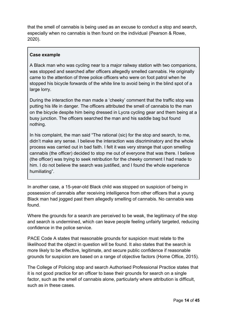that the smell of cannabis is being used as an excuse to conduct a stop and search, especially when no cannabis is then found on the individual (Pearson & Rowe, 2020).

#### **Case example**

A Black man who was cycling near to a major railway station with two companions, was stopped and searched after officers allegedly smelled cannabis. He originally came to the attention of three police officers who were on foot patrol when he stopped his bicycle forwards of the white line to avoid being in the blind spot of a large lorry.

During the interaction the man made a 'cheeky' comment that the traffic stop was putting his life in danger. The officers attributed the smell of cannabis to the man on the bicycle despite him being dressed in Lycra cycling gear and them being at a busy junction. The officers searched the man and his saddle bag but found nothing.

In his complaint, the man said "The rational (sic) for the stop and search, to me, didn't make any sense. I believe the interaction was discriminatory and the whole process was carried out in bad faith. I felt it was very strange that upon smelling cannabis (the officer) decided to stop me out of everyone that was there. I believe (the officer) was trying to seek retribution for the cheeky comment I had made to him. I do not believe the search was justified, and I found the whole experience humiliating".

In another case, a 15-year-old Black child was stopped on suspicion of being in possession of cannabis after receiving intelligence from other officers that a young Black man had jogged past them allegedly smelling of cannabis. No cannabis was found.

Where the grounds for a search are perceived to be weak, the legitimacy of the stop and search is undermined, which can leave people feeling unfairly targeted, reducing confidence in the police service.

PACE Code A states that reasonable grounds for suspicion must relate to the likelihood that the object in question will be found. It also states that the search is more likely to be effective, legitimate, and secure public confidence if reasonable grounds for suspicion are based on a range of objective factors (Home Office, 2015).

The College of Policing stop and search Authorised Professional Practice states that it is not good practice for an officer to base their grounds for search on a single factor, such as the smell of cannabis alone, particularly where attribution is difficult, such as in these cases.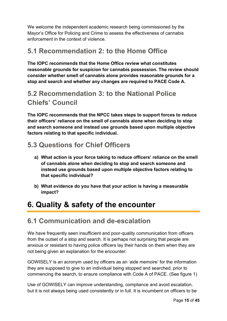We welcome the independent academic research being commissioned by the Mayor's Office for Policing and Crime to assess the effectiveness of cannabis enforcement in the context of violence.

### <span id="page-14-0"></span>**5.1 Recommendation 2: to the Home Office**

**The IOPC recommends that the Home Office review what constitutes reasonable grounds for suspicion for cannabis possession. The review should consider whether smell of cannabis alone provides reasonable grounds for a stop and search and whether any changes are required to PACE Code A.**

### <span id="page-14-1"></span>**5.2 Recommendation 3: to the National Police Chiefs' Council**

**The IOPC recommends that the NPCC takes steps to support forces to reduce their officers' reliance on the smell of cannabis alone when deciding to stop and search someone and instead use grounds based upon multiple objective factors relating to that specific individual.**

### <span id="page-14-2"></span>**5.3 Questions for Chief Officers**

- **a) What action is your force taking to reduce officers' reliance on the smell of cannabis alone when deciding to stop and search someone and instead use grounds based upon multiple objective factors relating to that specific individual?**
- **b) What evidence do you have that your action is having a measurable impact?**

# <span id="page-14-3"></span>**6. Quality & safety of the encounter**

### <span id="page-14-4"></span>**6.1 Communication and de-escalation**

We have frequently seen insufficient and poor-quality communication from officers from the outset of a stop and search. It is perhaps not surprising that people are anxious or resistant to having police officers lay their hands on them when they are not being given an explanation for the encounter.

GOWISELY is an acronym used by officers as an 'aide memoire' for the information they are supposed to give to an individual being stopped and searched, prior to commencing the search, to ensure compliance with Code A of PACE. (See figure 1)

Use of GOWISELY can improve understanding, compliance and avoid escalation, but it is not always being used consistently or in full. It is incumbent on officers to be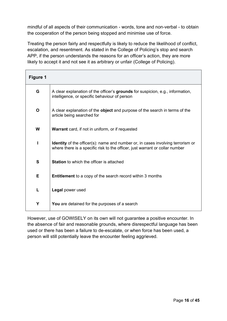mindful of all aspects of their communication - words, tone and non-verbal - to obtain the cooperation of the person being stopped and minimise use of force.

Treating the person fairly and respectfully is likely to reduce the likelihood of conflict, escalation, and resentment. As stated in the College of Policing's stop and search APP, if the person understands the reasons for an officer's action, they are more likely to accept it and not see it as arbitrary or unfair (College of Policing).

| Figure 1    |                                                                                                                                                                        |
|-------------|------------------------------------------------------------------------------------------------------------------------------------------------------------------------|
| G           | A clear explanation of the officer's grounds for suspicion, e.g., information,<br>intelligence, or specific behaviour of person                                        |
| $\mathbf O$ | A clear explanation of the <b>object</b> and purpose of the search in terms of the<br>article being searched for                                                       |
| W           | <b>Warrant</b> card, if not in uniform, or if requested                                                                                                                |
|             | <b>Identity</b> of the officer(s): name and number or, in cases involving terrorism or<br>where there is a specific risk to the officer, just warrant or collar number |
| S           | <b>Station</b> to which the officer is attached                                                                                                                        |
| E           | <b>Entitlement</b> to a copy of the search record within 3 months                                                                                                      |
| L           | Legal power used                                                                                                                                                       |
| Y           | You are detained for the purposes of a search                                                                                                                          |

However, use of GOWISELY on its own will not guarantee a positive encounter. In the absence of fair and reasonable grounds, where disrespectful language has been used or there has been a failure to de-escalate, or when force has been used, a person will still potentially leave the encounter feeling aggrieved.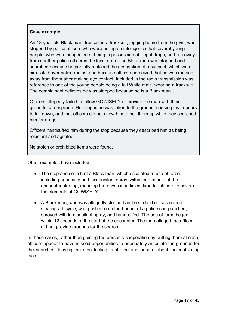#### **Case example**

An 18-year-old Black man dressed in a tracksuit, jogging home from the gym, was stopped by police officers who were acting on intelligence that several young people, who were suspected of being in possession of illegal drugs, had run away from another police officer in the local area. The Black man was stopped and searched because he partially matched the description of a suspect, which was circulated over police radios, and because officers perceived that he was running away from them after making eye contact. Included in the radio transmission was reference to one of the young people being a tall White male, wearing a tracksuit. The complainant believes he was stopped because he is a Black man.

Officers allegedly failed to follow GOWISELY or provide the man with their grounds for suspicion. He alleges he was taken to the ground, causing his trousers to fall down, and that officers did not allow him to pull them up while they searched him for drugs.

Officers handcuffed him during the stop because they described him as being resistant and agitated.

No stolen or prohibited items were found.

Other examples have included:

- The stop and search of a Black man, which escalated to use of force, including handcuffs and incapacitant spray, within one minute of the encounter starting, meaning there was insufficient time for officers to cover all the elements of GOWISELY.
- A Black man, who was allegedly stopped and searched on suspicion of stealing a bicycle, was pushed onto the bonnet of a police car, punched, sprayed with incapacitant spray, and handcuffed. The use of force began within 12 seconds of the start of the encounter. The man alleged the officer did not provide grounds for the search.

In these cases, rather than gaining the person's cooperation by putting them at ease, officers appear to have missed opportunities to adequately articulate the grounds for the searches, leaving the men feeling frustrated and unsure about the motivating factor.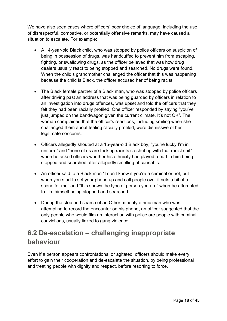We have also seen cases where officers' poor choice of language, including the use of disrespectful, combative, or potentially offensive remarks, may have caused a situation to escalate. For example:

- A 14-year-old Black child, who was stopped by police officers on suspicion of being in possession of drugs, was handcuffed to prevent him from escaping, fighting, or swallowing drugs, as the officer believed that was how drug dealers usually react to being stopped and searched. No drugs were found. When the child's grandmother challenged the officer that this was happening because the child is Black, the officer accused her of being racist.
- The Black female partner of a Black man, who was stopped by police officers after driving past an address that was being guarded by officers in relation to an investigation into drugs offences, was upset and told the officers that they felt they had been racially profiled. One officer responded by saying "you've just jumped on the bandwagon given the current climate. It's not OK". The woman complained that the officer's reactions, including smiling when she challenged them about feeling racially profiled, were dismissive of her legitimate concerns.
- Officers allegedly shouted at a 15-year-old Black boy, "you're lucky I'm in uniform" and "none of us are fucking racists so shut up with that racist shit" when he asked officers whether his ethnicity had played a part in him being stopped and searched after allegedly smelling of cannabis.
- An officer said to a Black man "I don't know if you're a criminal or not, but when you start to set your phone up and call people over it sets a bit of a scene for me" and "this shows the type of person you are" when he attempted to film himself being stopped and searched.
- During the stop and search of an Other minority ethnic man who was attempting to record the encounter on his phone, an officer suggested that the only people who would film an interaction with police are people with criminal convictions, usually linked to gang violence.

### <span id="page-17-0"></span>**6.2 De-escalation – challenging inappropriate behaviour**

Even if a person appears confrontational or agitated, officers should make every effort to gain their cooperation and de-escalate the situation, by being professional and treating people with dignity and respect, before resorting to force.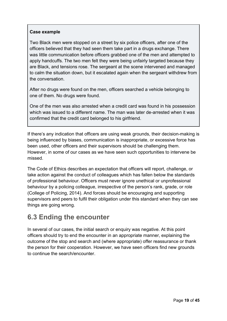#### **Case example**

Two Black men were stopped on a street by six police officers, after one of the officers believed that they had seen them take part in a drugs exchange. There was little communication before officers grabbed one of the men and attempted to apply handcuffs. The two men felt they were being unfairly targeted because they are Black, and tensions rose. The sergeant at the scene intervened and managed to calm the situation down, but it escalated again when the sergeant withdrew from the conversation.

After no drugs were found on the men, officers searched a vehicle belonging to one of them. No drugs were found.

One of the men was also arrested when a credit card was found in his possession which was issued to a different name. The man was later de-arrested when it was confirmed that the credit card belonged to his girlfriend.

If there's any indication that officers are using weak grounds, their decision-making is being influenced by biases, communication is inappropriate, or excessive force has been used, other officers and their supervisors should be challenging them. However, in some of our cases as we have seen such opportunities to intervene be missed.

The Code of Ethics describes an expectation that officers will report, challenge, or take action against the conduct of colleagues which has fallen below the standards of professional behaviour. Officers must never ignore unethical or unprofessional behaviour by a policing colleague, irrespective of the person's rank, grade, or role (College of Policing, 2014). And forces should be encouraging and supporting supervisors and peers to fulfil their obligation under this standard when they can see things are going wrong.

### <span id="page-18-0"></span>**6.3 Ending the encounter**

In several of our cases, the initial search or enquiry was negative. At this point officers should try to end the encounter in an appropriate manner, explaining the outcome of the stop and search and (where appropriate) offer reassurance or thank the person for their cooperation. However, we have seen officers find new grounds to continue the search/encounter.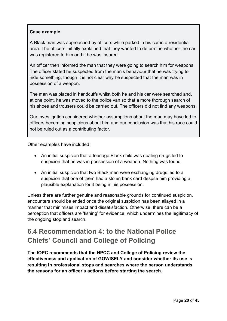#### **Case example**

A Black man was approached by officers while parked in his car in a residential area. The officers initially explained that they wanted to determine whether the car was registered to him and if he was insured.

An officer then informed the man that they were going to search him for weapons. The officer stated he suspected from the man's behaviour that he was trying to hide something, though it is not clear why he suspected that the man was in possession of a weapon.

The man was placed in handcuffs whilst both he and his car were searched and, at one point, he was moved to the police van so that a more thorough search of his shoes and trousers could be carried out. The officers did not find any weapons.

Our investigation considered whether assumptions about the man may have led to officers becoming suspicious about him and our conclusion was that his race could not be ruled out as a contributing factor.

Other examples have included:

- An initial suspicion that a teenage Black child was dealing drugs led to suspicion that he was in possession of a weapon. Nothing was found.
- An initial suspicion that two Black men were exchanging drugs led to a suspicion that one of them had a stolen bank card despite him providing a plausible explanation for it being in his possession.

Unless there are further genuine and reasonable grounds for continued suspicion, encounters should be ended once the original suspicion has been allayed in a manner that minimises impact and dissatisfaction. Otherwise, there can be a perception that officers are 'fishing' for evidence, which undermines the legitimacy of the ongoing stop and search.

### <span id="page-19-0"></span>**6.4 Recommendation 4: to the National Police Chiefs' Council and College of Policing**

**The IOPC recommends that the NPCC and College of Policing review the effectiveness and application of GOWISELY and consider whether its use is resulting in professional stops and searches where the person understands the reasons for an officer's actions before starting the search.**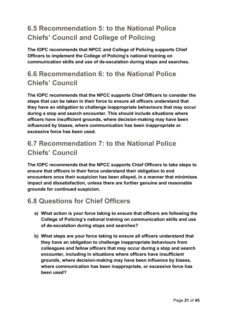### <span id="page-20-0"></span>**6.5 Recommendation 5: to the National Police Chiefs' Council and College of Policing**

**The IOPC recommends that NPCC and College of Policing supports Chief Officers to implement the College of Policing's national training on communication skills and use of de-escalation during stops and searches.**

### <span id="page-20-1"></span>**6.6 Recommendation 6: to the National Police Chiefs' Council**

**The IOPC recommends that the NPCC supports Chief Officers to consider the steps that can be taken in their force to ensure all officers understand that they have an obligation to challenge inappropriate behaviours that may occur during a stop and search encounter. This should include situations where officers have insufficient grounds, where decision-making may have been influenced by biases, where communication has been inappropriate or excessive force has been used.**

### <span id="page-20-2"></span>**6.7 Recommendation 7: to the National Police Chiefs' Council**

**The IOPC recommends that the NPCC supports Chief Officers to take steps to ensure that officers in their force understand their obligation to end encounters once their suspicion has been allayed, in a manner that minimises impact and dissatisfaction, unless there are further genuine and reasonable grounds for continued suspicion.**

### <span id="page-20-3"></span>**6.8 Questions for Chief Officers**

- **a) What action is your force taking to ensure that officers are following the College of Policing's national training on communication skills and use of de-escalation during stops and searches?**
- **b) What steps are your force taking to ensure all officers understand that they have an obligation to challenge inappropriate behaviours from colleagues and fellow officers that may occur during a stop and search encounter, including in situations where officers have insufficient grounds, where decision-making may have been influence by biases, where communication has been inappropriate, or excessive force has been used?**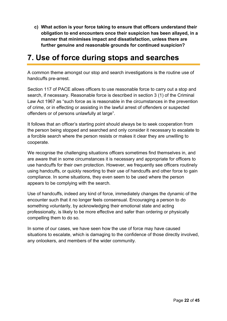**c) What action is your force taking to ensure that officers understand their obligation to end encounters once their suspicion has been allayed, in a manner that minimises impact and dissatisfaction, unless there are further genuine and reasonable grounds for continued suspicion?**

# <span id="page-21-0"></span>**7. Use of force during stops and searches**

A common theme amongst our stop and search investigations is the routine use of handcuffs pre-arrest.

Section 117 of PACE allows officers to use reasonable force to carry out a stop and search, if necessary. Reasonable force is described in section 3 (1) of the Criminal Law Act 1967 as "such force as is reasonable in the circumstances in the prevention of crime, or in effecting or assisting in the lawful arrest of offenders or suspected offenders or of persons unlawfully at large".

It follows that an officer's starting point should always be to seek cooperation from the person being stopped and searched and only consider it necessary to escalate to a forcible search where the person resists or makes it clear they are unwilling to cooperate.

We recognise the challenging situations officers sometimes find themselves in, and are aware that in some circumstances it is necessary and appropriate for officers to use handcuffs for their own protection. However, we frequently see officers routinely using handcuffs, or quickly resorting to their use of handcuffs and other force to gain compliance. In some situations, they even seem to be used where the person appears to be complying with the search.

Use of handcuffs, indeed any kind of force, immediately changes the dynamic of the encounter such that it no longer feels consensual. Encouraging a person to do something voluntarily, by acknowledging their emotional state and acting professionally, is likely to be more effective and safer than ordering or physically compelling them to do so.

In some of our cases, we have seen how the use of force may have caused situations to escalate, which is damaging to the confidence of those directly involved, any onlookers, and members of the wider community.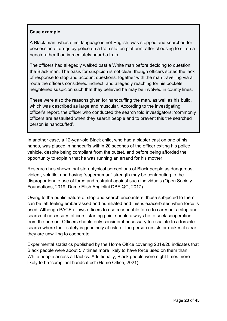#### **Case example**

A Black man, whose first language is not English, was stopped and searched for possession of drugs by police on a train station platform, after choosing to sit on a bench rather than immediately board a train.

The officers had allegedly walked past a White man before deciding to question the Black man. The basis for suspicion is not clear, though officers stated the lack of response to stop and account questions, together with the man travelling via a route the officers considered indirect, and allegedly reaching for his pockets heightened suspicion such that they believed he may be involved in county lines.

These were also the reasons given for handcuffing the man, as well as his build, which was described as large and muscular. According to the investigating officer's report, the officer who conducted the search told investigators: 'commonly officers are assaulted when they search people and to prevent this the searched person is handcuffed'.

In another case, a 12-year-old Black child, who had a plaster cast on one of his hands, was placed in handcuffs within 20 seconds of the officer exiting his police vehicle, despite being compliant from the outset, and before being afforded the opportunity to explain that he was running an errand for his mother.

Research has shown that stereotypical perceptions of Black people as dangerous, violent, volatile, and having "superhuman" strength may be contributing to the disproportionate use of force and restraint against such individuals (Open Society Foundations, 2019; Dame Elish Angiolini DBE QC, 2017).

Owing to the public nature of stop and search encounters, those subjected to them can be left feeling embarrassed and humiliated and this is exacerbated when force is used. Although PACE allows officers to use reasonable force to carry out a stop and search, if necessary, officers' starting point should always be to seek cooperation from the person. Officers should only consider it necessary to escalate to a forcible search where their safety is genuinely at risk, or the person resists or makes it clear they are unwilling to cooperate.

Experimental statistics published by the Home Office covering 2019/20 indicates that Black people were about 5.7 times more likely to have force used on them than White people across all tactics. Additionally, Black people were eight times more likely to be 'compliant handcuffed' (Home Office, 2021).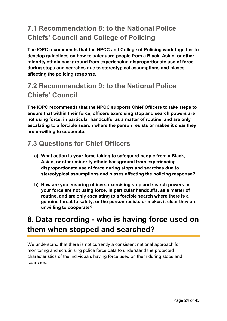### <span id="page-23-0"></span>**7.1 Recommendation 8: to the National Police Chiefs' Council and College of Policing**

**The IOPC recommends that the NPCC and College of Policing work together to develop guidelines on how to safeguard people from a Black, Asian, or other minority ethnic background from experiencing disproportionate use of force during stops and searches due to stereotypical assumptions and biases affecting the policing response.**

### <span id="page-23-1"></span>**7.2 Recommendation 9: to the National Police Chiefs' Council**

**The IOPC recommends that the NPCC supports Chief Officers to take steps to ensure that within their force, officers exercising stop and search powers are not using force, in particular handcuffs, as a matter of routine, and are only escalating to a forcible search where the person resists or makes it clear they are unwilling to cooperate.**

### <span id="page-23-2"></span>**7.3 Questions for Chief Officers**

- **a) What action is your force taking to safeguard people from a Black, Asian, or other minority ethnic background from experiencing disproportionate use of force during stops and searches due to stereotypical assumptions and biases affecting the policing response?**
- **b) How are you ensuring officers exercising stop and search powers in your force are not using force, in particular handcuffs, as a matter of routine, and are only escalating to a forcible search where there is a genuine threat to safety, or the person resists or makes it clear they are unwilling to cooperate?**

# <span id="page-23-3"></span>**8. Data recording - who is having force used on them when stopped and searched?**

We understand that there is not currently a consistent national approach for monitoring and scrutinising police force data to understand the protected characteristics of the individuals having force used on them during stops and searches.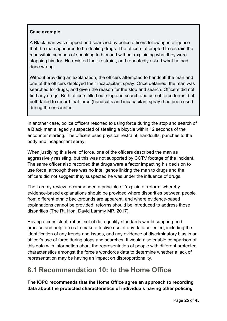#### **Case example**

A Black man was stopped and searched by police officers following intelligence that the man appeared to be dealing drugs. The officers attempted to restrain the man within seconds of speaking to him and without explaining what they were stopping him for. He resisted their restraint, and repeatedly asked what he had done wrong.

Without providing an explanation, the officers attempted to handcuff the man and one of the officers deployed their incapacitant spray. Once detained, the man was searched for drugs, and given the reason for the stop and search. Officers did not find any drugs. Both officers filled out stop and search and use of force forms, but both failed to record that force (handcuffs and incapacitant spray) had been used during the encounter.

In another case, police officers resorted to using force during the stop and search of a Black man allegedly suspected of stealing a bicycle within 12 seconds of the encounter starting. The officers used physical restraint, handcuffs, punches to the body and incapacitant spray.

When justifying this level of force, one of the officers described the man as aggressively resisting, but this was not supported by CCTV footage of the incident. The same officer also recorded that drugs were a factor impacting his decision to use force, although there was no intelligence linking the man to drugs and the officers did not suggest they suspected he was under the influence of drugs.

The Lammy review recommended a principle of 'explain or reform' whereby evidence-based explanations should be provided where disparities between people from different ethnic backgrounds are apparent, and where evidence-based explanations cannot be provided, reforms should be introduced to address those disparities (The Rt. Hon. David Lammy MP, 2017).

Having a consistent, robust set of data quality standards would support good practice and help forces to make effective use of any data collected, including the identification of any trends and issues, and any evidence of discriminatory bias in an officer's use of force during stops and searches. It would also enable comparison of this data with information about the representation of people with different protected characteristics amongst the force's workforce data to determine whether a lack of representation may be having an impact on disproportionality.

### <span id="page-24-0"></span>**8.1 Recommendation 10: to the Home Office**

<span id="page-24-1"></span>**The IOPC recommends that the Home Office agree an approach to recording data about the protected characteristics of individuals having other policing**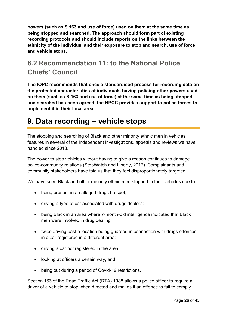**powers (such as S.163 and use of force) used on them at the same time as being stopped and searched. The approach should form part of existing recording protocols and should include reports on the links between the ethnicity of the individual and their exposure to stop and search, use of force and vehicle stops.**

### **8.2 Recommendation 11: to the National Police Chiefs' Council**

<span id="page-25-0"></span>**The IOPC recommends that once a standardised process for recording data on the protected characteristics of individuals having policing other powers used on them (such as S.163 and use of force) at the same time as being stopped and searched has been agreed, the NPCC provides support to police forces to implement it in their local area.**

# **9. Data recording – vehicle stops**

The stopping and searching of Black and other minority ethnic men in vehicles features in several of the independent investigations, appeals and reviews we have handled since 2018.

The power to stop vehicles without having to give a reason continues to damage police-community relations (StopWatch and Liberty, 2017). Complainants and community stakeholders have told us that they feel disproportionately targeted.

We have seen Black and other minority ethnic men stopped in their vehicles due to:

- being present in an alleged drugs hotspot;
- driving a type of car associated with drugs dealers;
- being Black in an area where 7-month-old intelligence indicated that Black men were involved in drug dealing;
- twice driving past a location being guarded in connection with drugs offences, in a car registered in a different area;
- driving a car not registered in the area;
- looking at officers a certain way, and
- being out during a period of Covid-19 restrictions.

Section 163 of the Road Traffic Act (RTA) 1988 allows a police officer to require a driver of a vehicle to stop when directed and makes it an offence to fail to comply.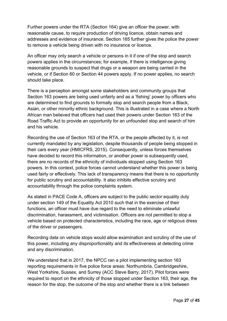Further powers under the RTA (Section 164) give an officer the power, with reasonable cause, to require production of driving licence, obtain names and addresses and evidence of insurance. Section 165 further gives the police the power to remove a vehicle being driven with no insurance or licence.

An officer may only search a vehicle or persons in it if one of the stop and search powers applies in the circumstances; for example, if there is intelligence giving reasonable grounds to suspect that drugs or a weapon are being carried in the vehicle, or if Section 60 or Section 44 powers apply. If no power applies, no search should take place.

There is a perception amongst some stakeholders and community groups that Section 163 powers are being used unfairly and as a 'fishing' power by officers who are determined to find grounds to formally stop and search people from a Black, Asian, or other minority ethnic background. This is illustrated in a case where a North African man believed that officers had used their powers under Section 163 of the Road Traffic Act to provide an opportunity for an unfounded stop and search of him and his vehicle.

Recording the use of Section 163 of the RTA, or the people affected by it, is not currently mandated by any legislation, despite thousands of people being stopped in their cars every year (HMICFRS, 2015). Consequently, unless forces themselves have decided to record this information, or another power is subsequently used, there are no records of the ethnicity of individuals stopped using Section 163 powers. In this context, police forces cannot understand whether this power is being used fairly or effectively. This lack of transparency means that there is no opportunity for public scrutiny and accountability. It also inhibits effective scrutiny and accountability through the police complaints system.

As stated in PACE Code A, officers are subject to the public sector equality duty under section 149 of the Equality Act 2010 such that in the exercise of their functions, an officer must have due regard to the need to eliminate unlawful discrimination, harassment, and victimisation. Officers are not permitted to stop a vehicle based on protected characteristics, including the race, age or religious dress of the driver or passengers.

Recording data on vehicle stops would allow examination and scrutiny of the use of this power, including any disproportionality and its effectiveness at detecting crime and any discrimination.

We understand that in 2017, the NPCC ran a pilot implementing section 163 reporting requirements in five police force areas: Northumbria, Cambridgeshire, West Yorkshire, Sussex, and Surrey (ACC Steve Barry, 2017). Pilot forces were required to report on the ethnicity of those stopped under Section 163, their age, the reason for the stop, the outcome of the stop and whether there is a link between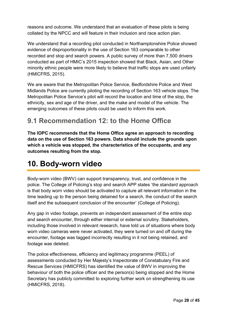reasons and outcome. We understand that an evaluation of these pilots is being collated by the NPCC and will feature in their inclusion and race action plan.

We understand that a recording pilot conducted in Northamptonshire Police showed evidence of disproportionality in the use of Section 163 comparable to other recorded and stop and search powers. A public survey of more than 7,500 drivers conducted as part of HMIC's 2015 inspection showed that Black, Asian, and Other minority ethnic people were more likely to believe that traffic stops are used unfairly (HMICFRS, 2015).

We are aware that the Metropolitan Police Service, Bedfordshire Police and West Midlands Police are currently piloting the recording of Section 163 vehicle stops. The Metropolitan Police Service's pilot will record the location and time of the stop, the ethnicity, sex and age of the driver, and the make and model of the vehicle. The emerging outcomes of these pilots could be used to inform this work.

### <span id="page-27-0"></span>**9.1 Recommendation 12: to the Home Office**

**The IOPC recommends that the Home Office agree an approach to recording data on the use of Section 163 powers. Data should include the grounds upon which a vehicle was stopped, the characteristics of the occupants, and any outcomes resulting from the stop.**

### <span id="page-27-1"></span>**10. Body-worn video**

Body-worn video (BWV) can support transparency, trust, and confidence in the police. The College of Policing's stop and search APP states 'the standard approach is that body worn video should be activated to capture all relevant information in the time leading up to the person being detained for a search, the conduct of the search itself and the subsequent conclusion of the encounter' (College of Policing).

Any gap in video footage, prevents an independent assessment of the entire stop and search encounter, through either internal or external scrutiny. Stakeholders, including those involved in relevant research, have told us of situations where body worn video cameras were never activated, they were turned on and off during the encounter, footage was tagged incorrectly resulting in it not being retained, and footage was deleted.

The police effectiveness, efficiency and legitimacy programme (PEEL) of assessments conducted by Her Majesty's Inspectorate of Constabulary Fire and Rescue Services (HMICFRS) has identified the value of BWV in improving the behaviour of both the police officer and the person(s) being stopped and the Home Secretary has publicly committed to exploring further work on strengthening its use (HMICFRS, 2018).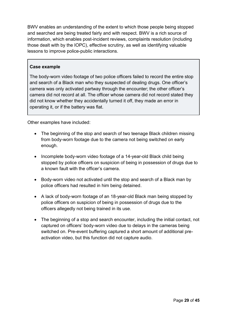BWV enables an understanding of the extent to which those people being stopped and searched are being treated fairly and with respect. BWV is a rich source of information, which enables post-incident reviews, complaints resolution (including those dealt with by the IOPC), effective scrutiny, as well as identifying valuable lessons to improve police-public interactions.

#### **Case example**

The body-worn video footage of two police officers failed to record the entire stop and search of a Black man who they suspected of dealing drugs. One officer's camera was only activated partway through the encounter; the other officer's camera did not record at all. The officer whose camera did not record stated they did not know whether they accidentally turned it off, they made an error in operating it, or if the battery was flat.

Other examples have included:

- The beginning of the stop and search of two teenage Black children missing from body-worn footage due to the camera not being switched on early enough.
- Incomplete body-worn video footage of a 14-year-old Black child being stopped by police officers on suspicion of being in possession of drugs due to a known fault with the officer's camera.
- Body-worn video not activated until the stop and search of a Black man by police officers had resulted in him being detained.
- A lack of body-worn footage of an 18-year-old Black man being stopped by police officers on suspicion of being in possession of drugs due to the officers allegedly not being trained in its use.
- The beginning of a stop and search encounter, including the initial contact, not captured on officers' body-worn video due to delays in the cameras being switched on. Pre-event buffering captured a short amount of additional preactivation video, but this function did not capture audio.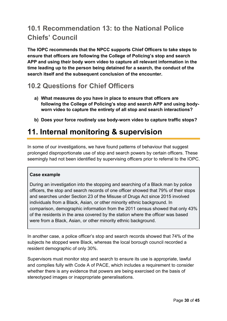### <span id="page-29-0"></span>**10.1 Recommendation 13: to the National Police Chiefs' Council**

**The IOPC recommends that the NPCC supports Chief Officers to take steps to ensure that officers are following the College of Policing's stop and search APP and using their body worn video to capture all relevant information in the time leading up to the person being detained for a search, the conduct of the search itself and the subsequent conclusion of the encounter.**

### <span id="page-29-1"></span>**10.2 Questions for Chief Officers**

- **a) What measures do you have in place to ensure that officers are following the College of Policing's stop and search APP and using bodyworn video to capture the entirety of all stop and search interactions?**
- **b) Does your force routinely use body-worn video to capture traffic stops?**

# <span id="page-29-2"></span>**11. Internal monitoring & supervision**

In some of our investigations, we have found patterns of behaviour that suggest prolonged disproportionate use of stop and search powers by certain officers. These seemingly had not been identified by supervising officers prior to referral to the IOPC.

#### **Case example**

During an investigation into the stopping and searching of a Black man by police officers, the stop and search records of one officer showed that 79% of their stops and searches under Section 23 of the Misuse of Drugs Act since 2015 involved individuals from a Black, Asian, or other minority ethnic background. In comparison, demographic information from the 2011 census showed that only 43% of the residents in the area covered by the station where the officer was based were from a Black, Asian, or other minority ethnic background.

In another case, a police officer's stop and search records showed that 74% of the subjects he stopped were Black, whereas the local borough council recorded a resident demographic of only 30%.

Supervisors must monitor stop and search to ensure its use is appropriate, lawful and complies fully with Code A of PACE, which includes a requirement to consider whether there is any evidence that powers are being exercised on the basis of stereotyped images or inappropriate generalisations.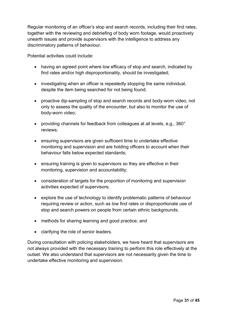Regular monitoring of an officer's stop and search records, including their find rates, together with the reviewing and debriefing of body worn footage, would proactively unearth issues and provide supervisors with the intelligence to address any discriminatory patterns of behaviour.

Potential activities could include:

- having an agreed point where low efficacy of stop and search, indicated by find rates and/or high disproportionality, should be investigated;
- investigating when an officer is repeatedly stopping the same individual, despite the item being searched for not being found;
- proactive dip-sampling of stop and search records and body-worn video, not only to assess the quality of the encounter, but also to monitor the use of body-worn video;
- providing channels for feedback from colleagues at all levels, e.g., 360° reviews;
- ensuring supervisors are given sufficient time to undertake effective monitoring and supervision and are holding officers to account when their behaviour falls below expected standards;
- ensuring training is given to supervisors so they are effective in their monitoring, supervision and accountability;
- consideration of targets for the proportion of monitoring and supervision activities expected of supervisors;
- explore the use of technology to identify problematic patterns of behaviour requiring review or action, such as low find rates or disproportionate use of stop and search powers on people from certain ethnic backgrounds;
- methods for sharing learning and good practice; and
- clarifying the role of senior leaders.

During consultation with policing stakeholders, we have heard that supervisors are not always provided with the necessary training to perform this role effectively at the outset. We also understand that supervisors are not necessarily given the time to undertake effective monitoring and supervision.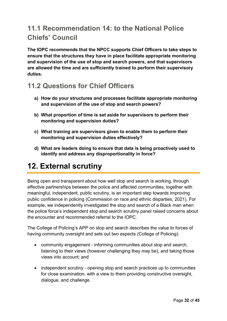### <span id="page-31-0"></span>**11.1 Recommendation 14: to the National Police Chiefs' Council**

**The IOPC recommends that the NPCC supports Chief Officers to take steps to ensure that the structures they have in place facilitate appropriate monitoring and supervision of the use of stop and search powers, and that supervisors are allowed the time and are sufficiently trained to perform their supervisory duties.**

### <span id="page-31-1"></span>**11.2 Questions for Chief Officers**

- **a) How do your structures and processes facilitate appropriate monitoring and supervision of the use of stop and search powers?**
- **b) What proportion of time is set aside for supervisors to perform their monitoring and supervision duties?**
- **c) What training are supervisors given to enable them to perform their monitoring and supervision duties effectively?**
- **d) What are leaders doing to ensure that data is being proactively used to identify and address any disproportionality in force?**

# <span id="page-31-2"></span>**12. External scrutiny**

Being open and transparent about how well stop and search is working, through effective partnerships between the police and affected communities, together with meaningful, independent, public scrutiny, is an important step towards improving public confidence in policing (Commission on race and ethnic disparties, 2021). For example, we independently investigated the stop and search of a Black man when the police force's independent stop and search scrutiny panel raised concerns about the encounter and recommended referral to the IOPC.

The College of Policing's APP on stop and search describes the value to forces of having community oversight and sets out two aspects (College of Policing):

- community engagement informing communities about stop and search, listening to their views (however challenging they may be), and taking those views into account; and
- independent scrutiny opening stop and search practices up to communities for close examination, with a view to them providing constructive oversight, dialogue, and challenge.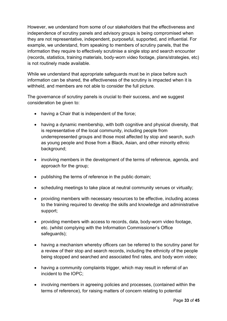However, we understand from some of our stakeholders that the effectiveness and independence of scrutiny panels and advisory groups is being compromised when they are not representative, independent, purposeful, supported, and influential. For example, we understand, from speaking to members of scrutiny panels, that the information they require to effectively scrutinise a single stop and search encounter (records, statistics, training materials, body-worn video footage, plans/strategies, etc) is not routinely made available.

While we understand that appropriate safeguards must be in place before such information can be shared, the effectiveness of the scrutiny is impacted when it is withheld, and members are not able to consider the full picture.

The governance of scrutiny panels is crucial to their success, and we suggest consideration be given to:

- having a Chair that is independent of the force;
- having a dynamic membership, with both cognitive and physical diversity, that is representative of the local community, including people from underrepresented groups and those most affected by stop and search, such as young people and those from a Black, Asian, and other minority ethnic background;
- involving members in the development of the terms of reference, agenda, and approach for the group;
- publishing the terms of reference in the public domain;
- scheduling meetings to take place at neutral community venues or virtually;
- providing members with necessary resources to be effective, including access to the training required to develop the skills and knowledge and administrative support;
- providing members with access to records, data, body-worn video footage, etc. (whilst complying with the Information Commissioner's Office safeguards);
- having a mechanism whereby officers can be referred to the scrutiny panel for a review of their stop and search records, including the ethnicity of the people being stopped and searched and associated find rates, and body worn video;
- having a community complaints trigger, which may result in referral of an incident to the IOPC;
- involving members in agreeing policies and processes, (contained within the terms of reference), for raising matters of concern relating to potential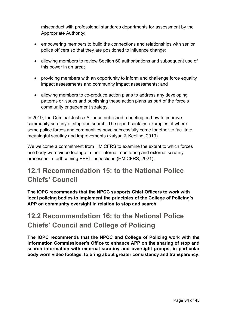misconduct with professional standards departments for assessment by the Appropriate Authority;

- empowering members to build the connections and relationships with senior police officers so that they are positioned to influence change;
- allowing members to review Section 60 authorisations and subsequent use of this power in an area;
- providing members with an opportunity to inform and challenge force equality impact assessments and community impact assessments; and
- allowing members to co-produce action plans to address any developing patterns or issues and publishing these action plans as part of the force's community engagement strategy.

In 2019, the Criminal Justice Alliance published a briefing on how to improve community scrutiny of stop and search. The report contains examples of where some police forces and communities have successfully come together to facilitate meaningful scrutiny and improvements (Kalyan & Keeling, 2019).

We welcome a commitment from HMICFRS to examine the extent to which forces use body-worn video footage in their internal monitoring and external scrutiny processes in forthcoming PEEL inspections (HMICFRS, 2021).

### <span id="page-33-0"></span>**12.1 Recommendation 15: to the National Police Chiefs' Council**

**The IOPC recommends that the NPCC supports Chief Officers to work with local policing bodies to implement the principles of the College of Policing's APP on community oversight in relation to stop and search.**

### <span id="page-33-1"></span>**12.2 Recommendation 16: to the National Police Chiefs' Council and College of Policing**

**The IOPC recommends that the NPCC and College of Policing work with the Information Commissioner's Office to enhance APP on the sharing of stop and search information with external scrutiny and oversight groups, in particular body worn video footage, to bring about greater consistency and transparency.**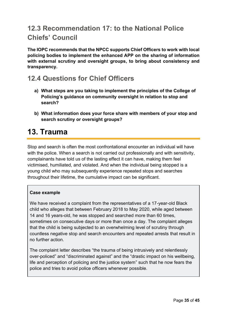### <span id="page-34-0"></span>**12.3 Recommendation 17: to the National Police Chiefs' Council**

**The IOPC recommends that the NPCC supports Chief Officers to work with local policing bodies to implement the enhanced APP on the sharing of information with external scrutiny and oversight groups, to bring about consistency and transparency.**

### <span id="page-34-1"></span>**12.4 Questions for Chief Officers**

- **a) What steps are you taking to implement the principles of the College of Policing's guidance on community oversight in relation to stop and search?**
- **b) What information does your force share with members of your stop and search scrutiny or oversight groups?**

# <span id="page-34-2"></span>**13. Trauma**

Stop and search is often the most confrontational encounter an individual will have with the police. When a search is not carried out professionally and with sensitivity, complainants have told us of the lasting effect it can have, making them feel victimised, humiliated, and violated. And when the individual being stopped is a young child who may subsequently experience repeated stops and searches throughout their lifetime, the cumulative impact can be significant.

#### **Case example**

We have received a complaint from the representatives of a 17-year-old Black child who alleges that between February 2018 to May 2020, while aged between 14 and 16 years-old, he was stopped and searched more than 60 times, sometimes on consecutive days or more than once a day. The complaint alleges that the child is being subjected to an overwhelming level of scrutiny through countless negative stop and search encounters and repeated arrests that result in no further action.

The complaint letter describes "the trauma of being intrusively and relentlessly over-policed" and "discriminated against" and the "drastic impact on his wellbeing, life and perception of policing and the justice system" such that he now fears the police and tries to avoid police officers whenever possible.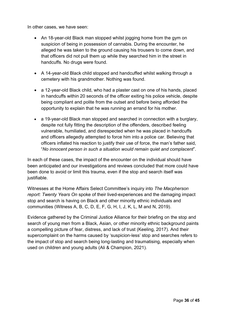In other cases, we have seen:

- An 18-year-old Black man stopped whilst jogging home from the gym on suspicion of being in possession of cannabis. During the encounter, he alleged he was taken to the ground causing his trousers to come down, and that officers did not pull them up while they searched him in the street in handcuffs. No drugs were found.
- A 14-year-old Black child stopped and handcuffed whilst walking through a cemetery with his grandmother. Nothing was found.
- a 12-year-old Black child, who had a plaster cast on one of his hands, placed in handcuffs within 20 seconds of the officer exiting his police vehicle, despite being compliant and polite from the outset and before being afforded the opportunity to explain that he was running an errand for his mother.
- a 19-year-old Black man stopped and searched in connection with a burglary, despite not fully fitting the description of the offenders, described feeling vulnerable, humiliated, and disrespected when he was placed in handcuffs and officers allegedly attempted to force him into a police car. Believing that officers inflated his reaction to justify their use of force, the man's father said, "*No innocent person in such a situation would remain quiet and complacent*".

In each of these cases, the impact of the encounter on the individual should have been anticipated and our investigations and reviews concluded that more could have been done to avoid or limit this trauma, even if the stop and search itself was justifiable.

Witnesses at the Home Affairs Select Committee's inquiry into *The Macpherson report: Twenty Years On* spoke of their lived-experiences and the damaging impact stop and search is having on Black and other minority ethnic individuals and communities (Witness A, B, C, D, E, F, G, H, I, J, K, L, M and N, 2019).

Evidence gathered by the Criminal Justice Alliance for their briefing on the stop and search of young men from a Black, Asian, or other minority ethnic background paints a compelling picture of fear, distress, and lack of trust (Keeling, 2017). And their supercomplaint on the harms caused by 'suspicion-less' stop and searches refers to the impact of stop and search being long-lasting and traumatising, especially when used on children and young adults (Ali & Champion, 2021).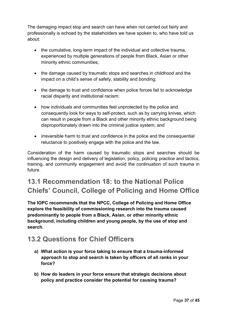The damaging impact stop and search can have when not carried out fairly and professionally is echoed by the stakeholders we have spoken to, who have told us about:

- the cumulative, long-term impact of the individual and collective trauma, experienced by multiple generations of people from Black, Asian or other minority ethnic communities;
- the damage caused by traumatic stops and searches in childhood and the impact on a child's sense of safety, stability and bonding;
- the damage to trust and confidence when police forces fail to acknowledge racial disparity and institutional racism;
- how individuals and communities feel unprotected by the police and consequently look for ways to self-protect, such as by carrying knives, which can result in people from a Black and other minority ethnic background being disproportionately drawn into the criminal justice system; and
- irreversible harm to trust and confidence in the police and the consequential reluctance to positively engage with the police and the law.

Consideration of the harm caused by traumatic stops and searches should be influencing the design and delivery of legislation, policy, policing practice and tactics, training, and community engagement and avoid the continuation of such trauma in future.

# <span id="page-36-0"></span>**13.1 Recommendation 18: to the National Police Chiefs' Council, College of Policing and Home Office**

**The IOPC recommends that the NPCC, College of Policing and Home Office explore the feasibility of commissioning research into the trauma caused predominantly to people from a Black, Asian, or other minority ethnic background, including children and young people, by the use of stop and search.**

### <span id="page-36-1"></span>**13.2 Questions for Chief Officers**

- **a) What action is your force taking to ensure that a trauma-informed approach to stop and search is taken by officers of all ranks in your force?**
- **b) How do leaders in your force ensure that strategic decisions about policy and practice consider the potential for causing trauma?**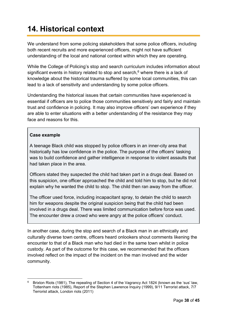# **14. Historical context**

We understand from some policing stakeholders that some police officers, including both recent recruits and more experienced officers, might not have sufficient understanding of the local and national context within which they are operating.

While the College of Policing's stop and search curriculum includes information about significant events in history related to stop and search, $6$  where there is a lack of knowledge about the historical trauma suffered by some local communities, this can lead to a lack of sensitivity and understanding by some police officers.

Understanding the historical issues that certain communities have experienced is essential if officers are to police those communities sensitively and fairly and maintain trust and confidence in policing. It may also improve officers' own experience if they are able to enter situations with a better understanding of the resistance they may face and reasons for this.

#### **Case example**

A teenage Black child was stopped by police officers in an inner-city area that historically has low confidence in the police. The purpose of the officers' tasking was to build confidence and gather intelligence in response to violent assaults that had taken place in the area.

Officers stated they suspected the child had taken part in a drugs deal. Based on this suspicion, one officer approached the child and told him to stop, but he did not explain why he wanted the child to stop. The child then ran away from the officer.

The officer used force, including incapacitant spray, to detain the child to search him for weapons despite the original suspicion being that the child had been involved in a drugs deal. There was limited communication before force was used. The encounter drew a crowd who were angry at the police officers' conduct.

In another case, during the stop and search of a Black man in an ethnically and culturally diverse town centre, officers heard onlookers shout comments likening the encounter to that of a Black man who had died in the same town whilst in police custody. As part of the outcome for this case, we recommended that the officers involved reflect on the impact of the incident on the man involved and the wider community.

<sup>6</sup> Brixton Riots (1981), The repealing of Section 4 of the Vagrancy Act 1824 (known as the 'sus' law, Tottenham riots (1985), Report of the Stephen Lawrence Inquiry (1999), 9/11 Terrorist attack, 7/7 Terrorist attack, London riots (2011)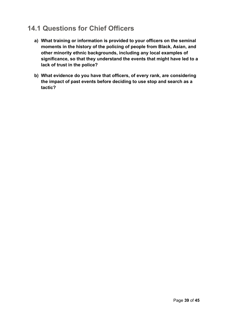### <span id="page-38-0"></span>**14.1 Questions for Chief Officers**

- **a) What training or information is provided to your officers on the seminal moments in the history of the policing of people from Black, Asian, and other minority ethnic backgrounds, including any local examples of significance, so that they understand the events that might have led to a lack of trust in the police?**
- **b) What evidence do you have that officers, of every rank, are considering the impact of past events before deciding to use stop and search as a tactic?**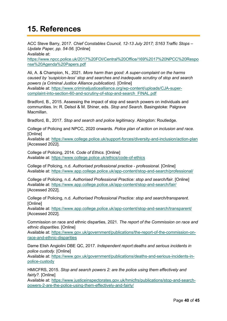# <span id="page-39-0"></span>**15. References**

ACC Steve Barry, 2017. *Chief Constables Council, 12-13 July 2017; S163 Traffic Stops – Update Paper, pp. 54-56.* [Online] Available at:

[https://www.npcc.police.uk/2017%20FOI/Central%20Office/169%2017%20NPCC%20Respo](https://www.npcc.police.uk/2017%20FOI/Central%20Office/169%2017%20NPCC%20Response%20Agenda%20Papers.pdf) [nse%20Agenda%20Papers.pdf](https://www.npcc.police.uk/2017%20FOI/Central%20Office/169%2017%20NPCC%20Response%20Agenda%20Papers.pdf)

Ali, A. & Champion, N., 2021. *More harm than good: A super-complaint on the harms caused by 'suspicion-less' stop and searches and inadequate scrutiny of stop and search powers (a Criminal Justice Alliance publication).* [Online] Available at: [https://www.criminaljusticealliance.org/wp-content/uploads/CJA-super](https://www.criminaljusticealliance.org/wp-content/uploads/CJA-super-complaint-into-section-60-and-scrutiny-of-stop-and-search_FINAL.pdf)[complaint-into-section-60-and-scrutiny-of-stop-and-search\\_FINAL.pdf](https://www.criminaljusticealliance.org/wp-content/uploads/CJA-super-complaint-into-section-60-and-scrutiny-of-stop-and-search_FINAL.pdf)

Bradford, B., 2015. Assessing the impact of stop and search powers on individuals and communities. In: R. Delsol & M. Shiner, eds. *Stop and Search.* Basingstoke: Palgrave Macmillan.

Bradford, B., 2017. *Stop and search and police legitimacy.* Abingdon: Routledge.

College of Policing and NPCC, 2020 onwards. *Police plan of action on inclusion and race.*  [Online]

Available at:<https://www.college.police.uk/support-forces/diversity-and-inclusion/action-plan> [Accessed 2022].

College of Policing, 2014. *Code of Ethics.* [Online] Available at:<https://www.college.police.uk/ethics/code-of-ethics>

College of Policing, n.d. *Authorised professional practice - professional.* [Online] Available at:<https://www.app.college.police.uk/app-content/stop-and-search/professional/>

College of Policing, n.d. *Authorised Professional Practice: stop and search/fair.* [Online] Available at:<https://www.app.college.police.uk/app-content/stop-and-search/fair/> [Accessed 2022].

College of Policing, n.d. *Authorised Professional Practice: stop and search/transparent.*  [Online]

Available at:<https://www.app.college.police.uk/app-content/stop-and-search/transparent/> [Accessed 2022].

Commission on race and ethnic disparties, 2021. *The report of the Commission on race and ethnic disparities.* [Online]

Available at: [https://www.gov.uk/government/publications/the-report-of-the-commission-on](https://www.gov.uk/government/publications/the-report-of-the-commission-on-race-and-ethnic-disparities)[race-and-ethnic-disparities](https://www.gov.uk/government/publications/the-report-of-the-commission-on-race-and-ethnic-disparities)

Dame Elish Angiolini DBE QC, 2017. *Independent report:deaths and serious incidents in police custody.* [Online]

Available at: [https://www.gov.uk/government/publications/deaths-and-serious-incidents-in](https://www.gov.uk/government/publications/deaths-and-serious-incidents-in-police-custody)[police-custody](https://www.gov.uk/government/publications/deaths-and-serious-incidents-in-police-custody)

HMICFRS, 2015. *Stop and search powers 2: are the police using them effectively and fairly?.* [Online]

Available at: [https://www.justiceinspectorates.gov.uk/hmicfrs/publications/stop-and-search](https://www.justiceinspectorates.gov.uk/hmicfrs/publications/stop-and-search-powers-2-are-the-police-using-them-effectively-and-fairly/)[powers-2-are-the-police-using-them-effectively-and-fairly/](https://www.justiceinspectorates.gov.uk/hmicfrs/publications/stop-and-search-powers-2-are-the-police-using-them-effectively-and-fairly/)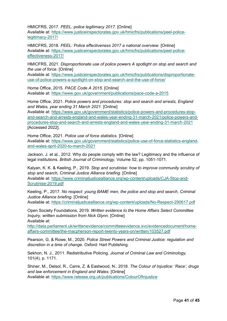HMICFRS, 2017. *PEEL: police legitimacy 2017.* [Online] Available at: [https://www.justiceinspectorates.gov.uk/hmicfrs/publications/peel-police](https://www.justiceinspectorates.gov.uk/hmicfrs/publications/peel-police-legitimacy-2017/)[legitimacy-2017/](https://www.justiceinspectorates.gov.uk/hmicfrs/publications/peel-police-legitimacy-2017/)

HMICFRS, 2018. *PEEL: Police effectiveness 2017 a national overview.* [Online] Available at: [https://www.justiceinspectorates.gov.uk/hmicfrs/publications/peel-police](https://www.justiceinspectorates.gov.uk/hmicfrs/publications/peel-police-effectiveness-2017/)[effectiveness-2017/](https://www.justiceinspectorates.gov.uk/hmicfrs/publications/peel-police-effectiveness-2017/)

HMICFRS, 2021. *Disproportionate use of police powers A spotlight on stop and search and the use of force.* [Online]

Available at: [https://www.justiceinspectorates.gov.uk/hmicfrs/publications/disproportionate](https://www.justiceinspectorates.gov.uk/hmicfrs/publications/disproportionate-use-of-police-powers-a-spotlight-on-stop-and-search-and-the-use-of-force/)[use-of-police-powers-a-spotlight-on-stop-and-search-and-the-use-of-force/](https://www.justiceinspectorates.gov.uk/hmicfrs/publications/disproportionate-use-of-police-powers-a-spotlight-on-stop-and-search-and-the-use-of-force/)

Home Office, 2015. *PACE Code A 2015.* [Online] Available at:<https://www.gov.uk/government/publications/pace-code-a-2015>

Home Office, 2021. *Police powers and procedures: stop and search and arrests, England and Wales, year ending 31 March 2021.* [Online]

Available at: [https://www.gov.uk/government/statistics/police-powers-and-procedures-stop](https://www.gov.uk/government/statistics/police-powers-and-procedures-stop-and-search-and-arrests-england-and-wales-year-ending-31-march-2021/police-powers-and-procedures-stop-and-search-and-arrests-england-and-wales-year-ending-31-march-2021)[and-search-and-arrests-england-and-wales-year-ending-31-march-2021/police-powers-and](https://www.gov.uk/government/statistics/police-powers-and-procedures-stop-and-search-and-arrests-england-and-wales-year-ending-31-march-2021/police-powers-and-procedures-stop-and-search-and-arrests-england-and-wales-year-ending-31-march-2021)[procedures-stop-and-search-and-arrests-england-and-wales-year-ending-31-march-2021](https://www.gov.uk/government/statistics/police-powers-and-procedures-stop-and-search-and-arrests-england-and-wales-year-ending-31-march-2021/police-powers-and-procedures-stop-and-search-and-arrests-england-and-wales-year-ending-31-march-2021) [Accessed 2022].

Home Office, 2021. *Police use of force statistics.* [Online] Available at: [https://www.gov.uk/government/statistics/police-use-of-force-statistics-england](https://www.gov.uk/government/statistics/police-use-of-force-statistics-england-and-wales-april-2020-to-march-2021)[and-wales-april-2020-to-march-2021](https://www.gov.uk/government/statistics/police-use-of-force-statistics-england-and-wales-april-2020-to-march-2021)

Jackson, J. et al., 2012. Why do people comply with the law? Legitimacy and the influence of legal institutions. *British Journal of Criminology,* Volume 52, pp. 1051-1071.

Kalyan, K. K. & Keeling, P., 2019. *Stop and scrutinise: how to improve community scrutiny of stop and search, Criminal Justice Alliance briefing.* [Online] Available at: [https://www.criminaljusticealliance.org/wp-content/uploads/CJA-Stop-and-](https://www.criminaljusticealliance.org/wp-content/uploads/CJA-Stop-and-Scrutinise-2019.pdf)[Scrutinise-2019.pdf](https://www.criminaljusticealliance.org/wp-content/uploads/CJA-Stop-and-Scrutinise-2019.pdf)

Keeling, P., 2017. *No respect: young BAME men, the police and stop and search, Criminal Justice Alliance briefing.* [Online]

Available at:<https://criminaljusticealliance.org/wp-content/uploads/No-Respect-290617.pdf>

Open Society Foundations, 2019. *Written evidence to the Home Affairs Select Committee Inquiry, written submission from Nick Glynn.* [Online] Available at:

[http://data.parliament.uk/writtenevidence/committeeevidence.svc/evidencedocument/home](http://data.parliament.uk/writtenevidence/committeeevidence.svc/evidencedocument/home-affairs-committee/the-macpherson-report-twenty-years-on/written/103527.pdf)[affairs-committee/the-macpherson-report-twenty-years-on/written/103527.pdf](http://data.parliament.uk/writtenevidence/committeeevidence.svc/evidencedocument/home-affairs-committee/the-macpherson-report-twenty-years-on/written/103527.pdf)

Pearson, G. & Rowe, M., 2020. *Police Street Powers and Criminal Justice: regulation and discretion in a time of change.* Oxford: Hart Publishing.

Sekhon, N. J., 2011. Redistributive Policing. *Journal of Criminal Law and Criminology,*  101(4), p. 1171.

Shiner, M., Delsol, R., Carre, Z. & Eastwood, N., 2018. *The Colour of Injustice: 'Race', drugs and law enforcement in England and Wales.* [Online] Available at:<https://www.release.org.uk/publications/ColourOfInjustice>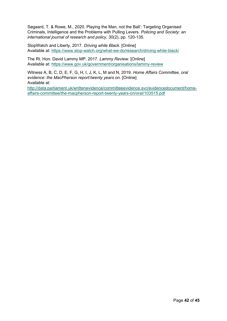Søgaard, T. & Rowe, M., 2020. Playing the Man, not the Ball': Targeting Organised Criminals, Intelligence and the Problems with Pulling Levers. *Policing and Society: an international journal of research and policy,* 30(2), pp. 120-135.

StopWatch and Liberty, 2017. *Driving while Black.* [Online] Available at:<https://www.stop-watch.org/what-we-do/research/driving-while-black/>

The Rt. Hon. David Lammy MP, 2017. *Lammy Review.* [Online] Available at: <https://www.gov.uk/government/organisations/lammy-review>

Witness A, B, C, D, E, F, G, H, I, J, K, L, M and N, 2019. *Home Affairs Committee, oral evidence: the MacPherson report:twenty years on.* [Online] Available at: [http://data.parliament.uk/writtenevidence/committeeevidence.svc/evidencedocument/home-](http://data.parliament.uk/writtenevidence/committeeevidence.svc/evidencedocument/home-affairs-committee/the-macpherson-report-twenty-years-on/oral/103515.pdf)

[affairs-committee/the-macpherson-report-twenty-years-on/oral/103515.pdf](http://data.parliament.uk/writtenevidence/committeeevidence.svc/evidencedocument/home-affairs-committee/the-macpherson-report-twenty-years-on/oral/103515.pdf)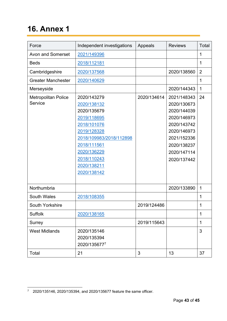# <span id="page-42-0"></span>**16. Annex 1**

| Force                                 | Independent investigations                                                                                                                                                                   | Appeals     | <b>Reviews</b>                                                                                                                                     | Total          |
|---------------------------------------|----------------------------------------------------------------------------------------------------------------------------------------------------------------------------------------------|-------------|----------------------------------------------------------------------------------------------------------------------------------------------------|----------------|
| <b>Avon and Somerset</b>              | 2021/149396                                                                                                                                                                                  |             |                                                                                                                                                    | 1              |
| <b>Beds</b>                           | 2018/112181                                                                                                                                                                                  |             |                                                                                                                                                    | 1              |
| Cambridgeshire                        | 2020/137568                                                                                                                                                                                  |             | 2020/138560                                                                                                                                        | $\overline{2}$ |
| <b>Greater Manchester</b>             | 2020/140629                                                                                                                                                                                  |             |                                                                                                                                                    | 1              |
| Merseyside                            |                                                                                                                                                                                              |             | 2020/144343                                                                                                                                        | 1              |
| <b>Metropolitan Police</b><br>Service | 2020/143279<br>2020/138132<br>2020/135679<br>2019/118695<br>2018/101076<br>2019/128328<br>2018/109983/2018/112898<br>2018/111561<br>2020/136229<br>2018/110243<br>2020/138211<br>2020/138142 | 2020/134614 | 2021/148343<br>2020/130673<br>2020/144039<br>2020/146973<br>2020/143742<br>2020/146973<br>2021/152336<br>2020/138237<br>2020/147114<br>2020/137442 | 24             |
| Northumbria                           |                                                                                                                                                                                              |             | 2020/133890                                                                                                                                        | 1              |
| <b>South Wales</b>                    | 2018/108355                                                                                                                                                                                  |             |                                                                                                                                                    | 1              |
| South Yorkshire                       |                                                                                                                                                                                              | 2019/124486 |                                                                                                                                                    | 1              |
| <b>Suffolk</b>                        | 2020/138165                                                                                                                                                                                  |             |                                                                                                                                                    | 1              |
| Surrey                                |                                                                                                                                                                                              | 2019/115643 |                                                                                                                                                    | 1              |
| <b>West Midlands</b>                  | 2020/135146<br>2020/135394<br>2020/1356777                                                                                                                                                   |             |                                                                                                                                                    | 3              |
| Total                                 | 21                                                                                                                                                                                           | 3           | 13                                                                                                                                                 | 37             |

 $\frac{7}{1}$  2020/135146, 2020/135394, and 2020/135677 feature the same officer.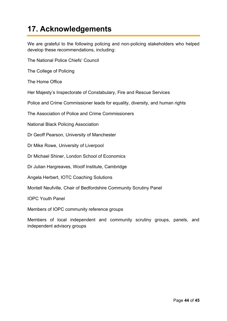# <span id="page-43-0"></span>**17. Acknowledgements**

We are grateful to the following policing and non-policing stakeholders who helped develop these recommendations, including:

The National Police Chiefs' Council

The College of Policing

The Home Office

Her Majesty's Inspectorate of Constabulary, Fire and Rescue Services

Police and Crime Commissioner leads for equality, diversity, and human rights

The Association of Police and Crime Commissioners

National Black Policing Association

Dr Geoff Pearson, University of Manchester

Dr Mike Rowe, University of Liverpool

Dr Michael Shiner, London School of Economics

Dr Julian Hargreaves, Woolf Institute, Cambridge

Angela Herbert, IOTC Coaching Solutions

Montell Neufville, Chair of Bedfordshire Community Scrutiny Panel

IOPC Youth Panel

Members of IOPC community reference groups

Members of local independent and community scrutiny groups, panels, and independent advisory groups